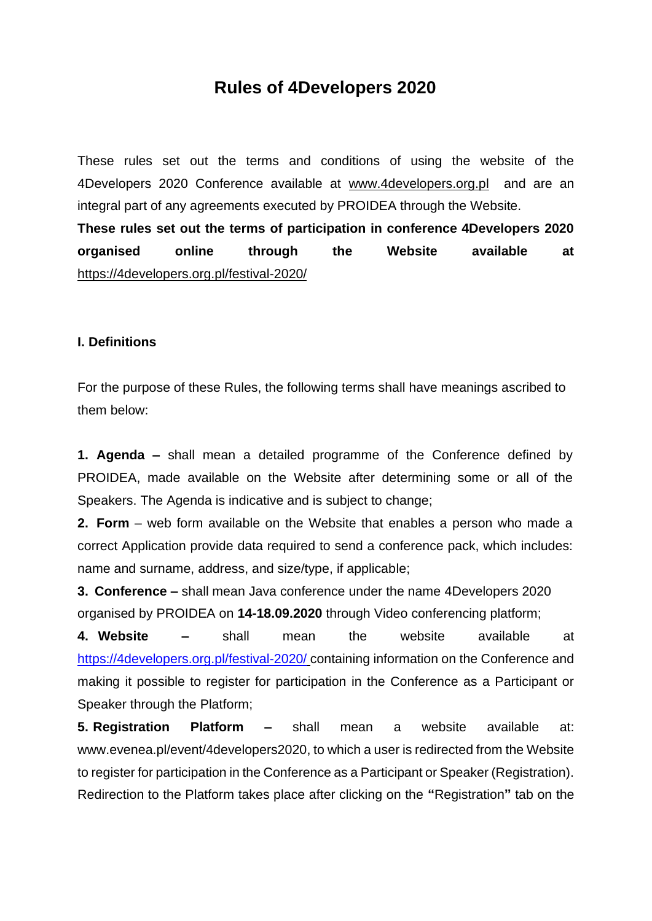# **Rules of 4Developers 2020**

These rules set out the terms and conditions of using the website of the 4Developers 2020 Conference available at [www.4developers.org.pl](http://www.4developers.org.pl/) and are an integral part of any agreements executed by PROIDEA through the Website.

**These rules set out the terms of participation in conference 4Developers 2020 organised online through the Website available at** <https://4developers.org.pl/festival-2020/>

#### **I. Definitions**

For the purpose of these Rules, the following terms shall have meanings ascribed to them below:

**1. Agenda –** shall mean a detailed programme of the Conference defined by PROIDEA, made available on the Website after determining some or all of the Speakers. The Agenda is indicative and is subject to change;

**2. Form** – web form available on the Website that enables a person who made a correct Application provide data required to send a conference pack, which includes: name and surname, address, and size/type, if applicable;

**3. Conference –** shall mean Java conference under the name 4Developers 2020 organised by PROIDEA on **14-18.09.2020** through Video conferencing platform;

**4. Website –** shall mean the website available at <https://4developers.org.pl/festival-2020/> containing information on the Conference and making it possible to register for participation in the Conference as a Participant or Speaker through the Platform;

**5. Registration Platform –** shall mean a website available at: www.evenea.pl/event/4developers2020, to which a user is redirected from the Website to register for participation in the Conference as a Participant or Speaker (Registration). Redirection to the Platform takes place after clicking on the **"**Registration**"** tab on the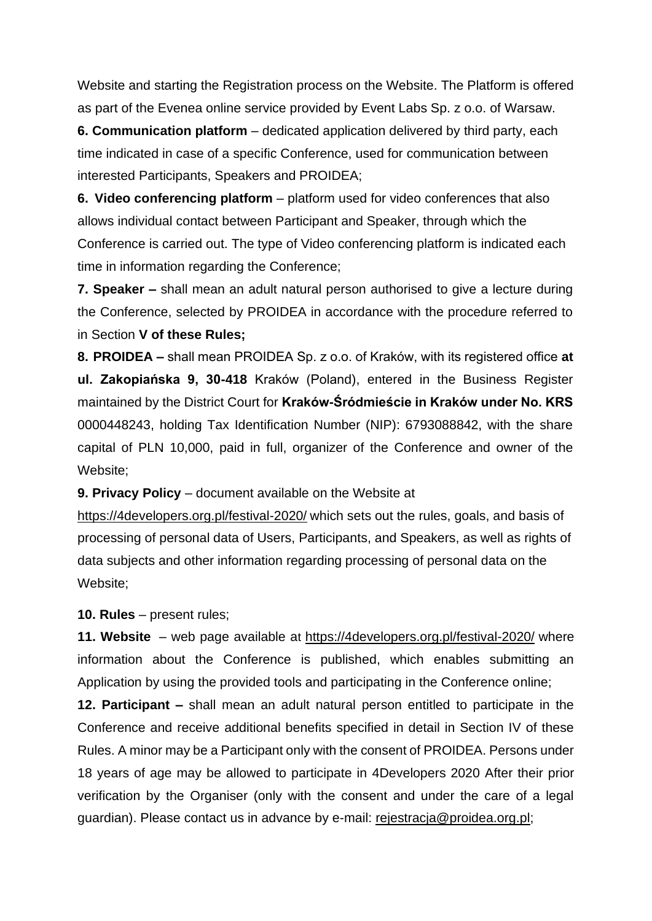Website and starting the Registration process on the Website. The Platform is offered as part of the Evenea online service provided by Event Labs Sp. z o.o. of Warsaw.

**6. Communication platform** – dedicated application delivered by third party, each time indicated in case of a specific Conference, used for communication between interested Participants, Speakers and PROIDEA;

**6. Video conferencing platform** – platform used for video conferences that also allows individual contact between Participant and Speaker, through which the Conference is carried out. The type of Video conferencing platform is indicated each time in information regarding the Conference;

**7. Speaker –** shall mean an adult natural person authorised to give a lecture during the Conference, selected by PROIDEA in accordance with the procedure referred to in Section **V of these Rules;**

**8. PROIDEA –** shall mean PROIDEA Sp. z o.o. of Kraków, with its registered office **at ul. Zakopiańska 9, 30-418** Kraków (Poland), entered in the Business Register maintained by the District Court for **Kraków-Śródmieście in Kraków under No. KRS** 0000448243, holding Tax Identification Number (NIP): 6793088842, with the share capital of PLN 10,000, paid in full, organizer of the Conference and owner of the Website;

**9. Privacy Policy** – document available on the Website at

<https://4developers.org.pl/festival-2020/> which sets out the rules, goals, and basis of processing of personal data of Users, Participants, and Speakers, as well as rights of data subjects and other information regarding processing of personal data on the Website;

**10. Rules** – present rules;

**11. Website** – web page available at <https://4developers.org.pl/festival-2020/> where information about the Conference is published, which enables submitting an Application by using the provided tools and participating in the Conference online;

**12. Participant –** shall mean an adult natural person entitled to participate in the Conference and receive additional benefits specified in detail in Section IV of these Rules. A minor may be a Participant only with the consent of PROIDEA. Persons under 18 years of age may be allowed to participate in 4Developers 2020 After their prior verification by the Organiser (only with the consent and under the care of a legal guardian). Please contact us in advance by e-mail: [rejestracja@proidea.org.pl;](mailto:rejestracja@proidea.org.pl)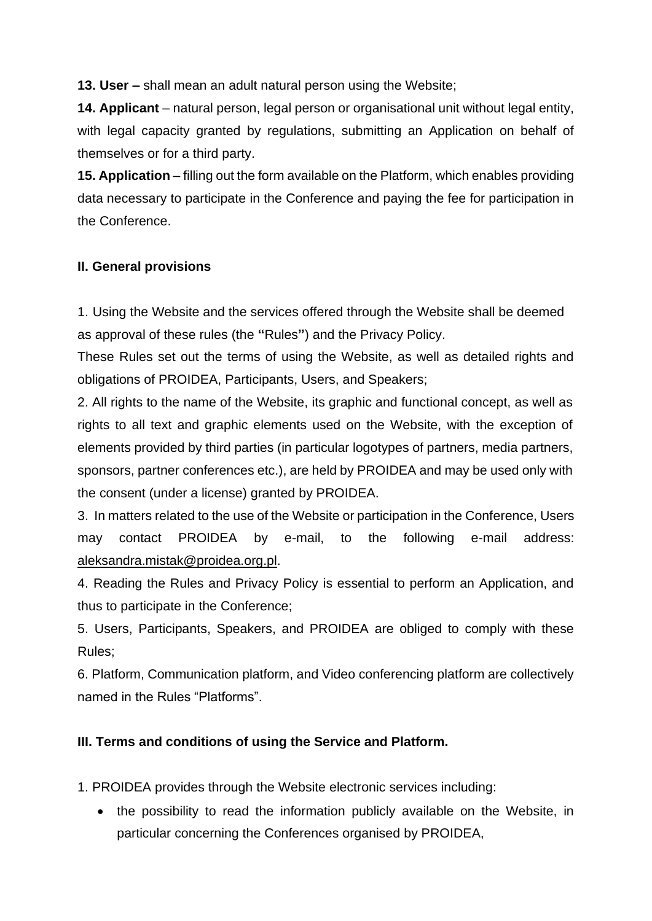**13. User –** shall mean an adult natural person using the Website;

**14. Applicant** – natural person, legal person or organisational unit without legal entity, with legal capacity granted by regulations, submitting an Application on behalf of themselves or for a third party.

**15. Application** – filling out the form available on the Platform, which enables providing data necessary to participate in the Conference and paying the fee for participation in the Conference.

## **II. General provisions**

1. Using the Website and the services offered through the Website shall be deemed as approval of these rules (the **"**Rules**"**) and the Privacy Policy.

These Rules set out the terms of using the Website, as well as detailed rights and obligations of PROIDEA, Participants, Users, and Speakers;

2. All rights to the name of the Website, its graphic and functional concept, as well as rights to all text and graphic elements used on the Website, with the exception of elements provided by third parties (in particular logotypes of partners, media partners, sponsors, partner conferences etc.), are held by PROIDEA and may be used only with the consent (under a license) granted by PROIDEA.

3. In matters related to the use of the Website or participation in the Conference, Users may contact PROIDEA by e-mail, to the following e-mail address: [aleksandra.mistak@proidea.org.pl.](mailto:aleksandra.mistak@proidea.org.pl)

4. Reading the Rules and Privacy Policy is essential to perform an Application, and thus to participate in the Conference;

5. Users, Participants, Speakers, and PROIDEA are obliged to comply with these Rules;

6. Platform, Communication platform, and Video conferencing platform are collectively named in the Rules "Platforms".

## **III. Terms and conditions of using the Service and Platform.**

1. PROIDEA provides through the Website electronic services including:

• the possibility to read the information publicly available on the Website, in particular concerning the Conferences organised by PROIDEA,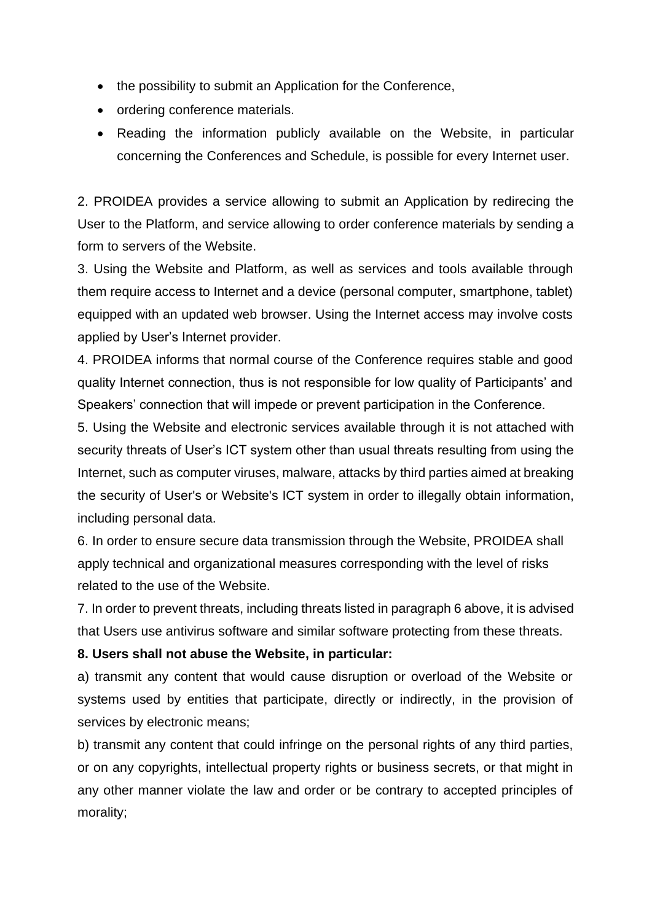- the possibility to submit an Application for the Conference,
- ordering conference materials.
- Reading the information publicly available on the Website, in particular concerning the Conferences and Schedule, is possible for every Internet user.

2. PROIDEA provides a service allowing to submit an Application by redirecing the User to the Platform, and service allowing to order conference materials by sending a form to servers of the Website.

3. Using the Website and Platform, as well as services and tools available through them require access to Internet and a device (personal computer, smartphone, tablet) equipped with an updated web browser. Using the Internet access may involve costs applied by User's Internet provider.

4. PROIDEA informs that normal course of the Conference requires stable and good quality Internet connection, thus is not responsible for low quality of Participants' and Speakers' connection that will impede or prevent participation in the Conference.

5. Using the Website and electronic services available through it is not attached with security threats of User's ICT system other than usual threats resulting from using the Internet, such as computer viruses, malware, attacks by third parties aimed at breaking the security of User's or Website's ICT system in order to illegally obtain information, including personal data.

6. In order to ensure secure data transmission through the Website, PROIDEA shall apply technical and organizational measures corresponding with the level of risks related to the use of the Website.

7. In order to prevent threats, including threats listed in paragraph 6 above, it is advised that Users use antivirus software and similar software protecting from these threats.

#### **8. Users shall not abuse the Website, in particular:**

a) transmit any content that would cause disruption or overload of the Website or systems used by entities that participate, directly or indirectly, in the provision of services by electronic means;

b) transmit any content that could infringe on the personal rights of any third parties, or on any copyrights, intellectual property rights or business secrets, or that might in any other manner violate the law and order or be contrary to accepted principles of morality;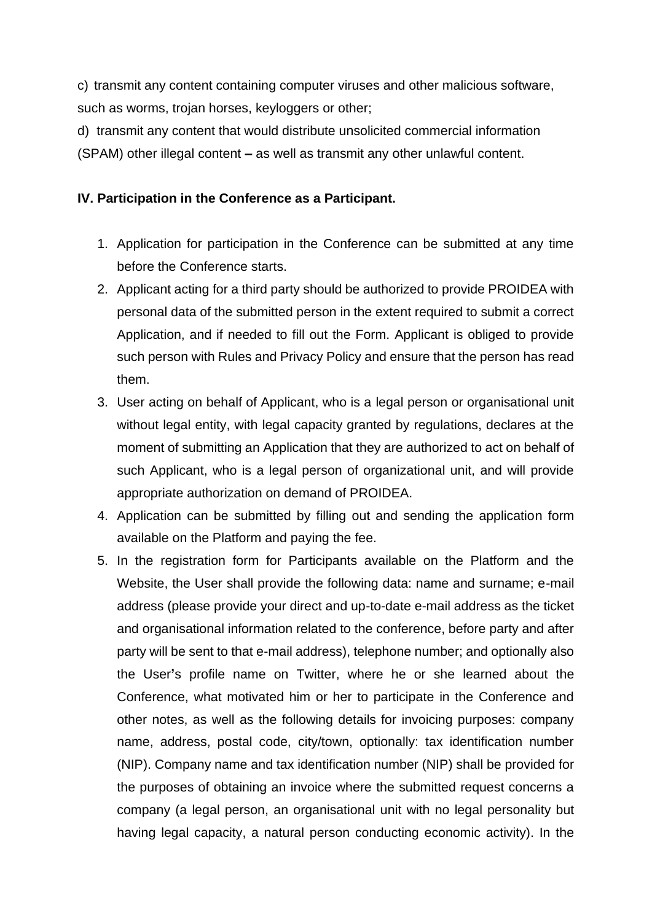c) transmit any content containing computer viruses and other malicious software, such as worms, trojan horses, keyloggers or other;

d) transmit any content that would distribute unsolicited commercial information (SPAM) other illegal content **–** as well as transmit any other unlawful content.

### **IV. Participation in the Conference as a Participant.**

- 1. Application for participation in the Conference can be submitted at any time before the Conference starts.
- 2. Applicant acting for a third party should be authorized to provide PROIDEA with personal data of the submitted person in the extent required to submit a correct Application, and if needed to fill out the Form. Applicant is obliged to provide such person with Rules and Privacy Policy and ensure that the person has read them.
- 3. User acting on behalf of Applicant, who is a legal person or organisational unit without legal entity, with legal capacity granted by regulations, declares at the moment of submitting an Application that they are authorized to act on behalf of such Applicant, who is a legal person of organizational unit, and will provide appropriate authorization on demand of PROIDEA.
- 4. Application can be submitted by filling out and sending the application form available on the Platform and paying the fee.
- 5. In the registration form for Participants available on the Platform and the Website, the User shall provide the following data: name and surname; e-mail address (please provide your direct and up-to-date e-mail address as the ticket and organisational information related to the conference, before party and after party will be sent to that e-mail address), telephone number; and optionally also the User**'**s profile name on Twitter, where he or she learned about the Conference, what motivated him or her to participate in the Conference and other notes, as well as the following details for invoicing purposes: company name, address, postal code, city/town, optionally: tax identification number (NIP). Company name and tax identification number (NIP) shall be provided for the purposes of obtaining an invoice where the submitted request concerns a company (a legal person, an organisational unit with no legal personality but having legal capacity, a natural person conducting economic activity). In the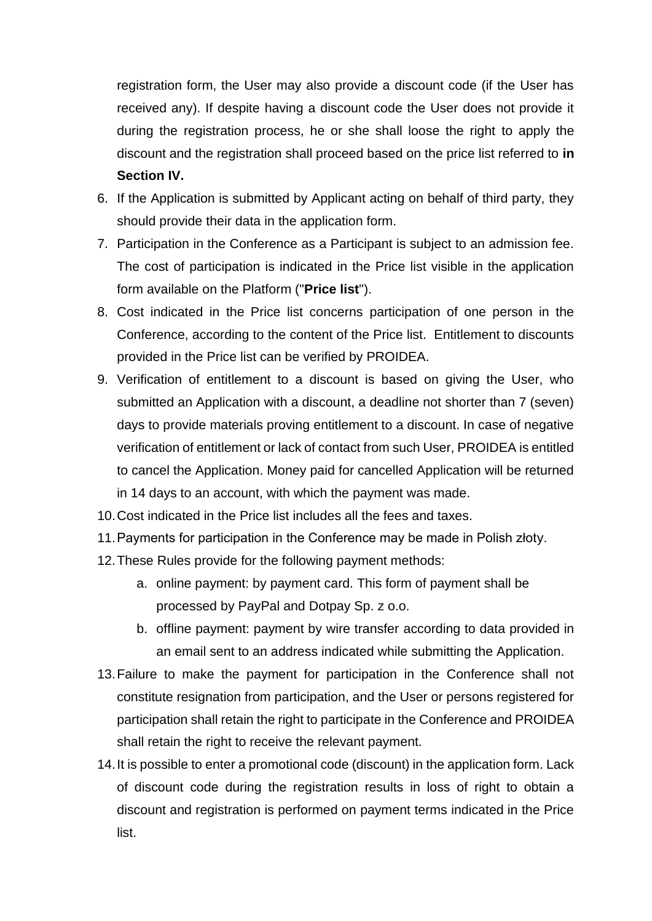registration form, the User may also provide a discount code (if the User has received any). If despite having a discount code the User does not provide it during the registration process, he or she shall loose the right to apply the discount and the registration shall proceed based on the price list referred to **in Section IV.**

- 6. If the Application is submitted by Applicant acting on behalf of third party, they should provide their data in the application form.
- 7. Participation in the Conference as a Participant is subject to an admission fee. The cost of participation is indicated in the Price list visible in the application form available on the Platform ("**Price list**").
- 8. Cost indicated in the Price list concerns participation of one person in the Conference, according to the content of the Price list. Entitlement to discounts provided in the Price list can be verified by PROIDEA.
- 9. Verification of entitlement to a discount is based on giving the User, who submitted an Application with a discount, a deadline not shorter than 7 (seven) days to provide materials proving entitlement to a discount. In case of negative verification of entitlement or lack of contact from such User, PROIDEA is entitled to cancel the Application. Money paid for cancelled Application will be returned in 14 days to an account, with which the payment was made.
- 10.Cost indicated in the Price list includes all the fees and taxes.
- 11.Payments for participation in the Conference may be made in Polish złoty.
- 12.These Rules provide for the following payment methods:
	- a. online payment: by payment card. This form of payment shall be processed by PayPal and Dotpay Sp. z o.o.
	- b. offline payment: payment by wire transfer according to data provided in an email sent to an address indicated while submitting the Application.
- 13.Failure to make the payment for participation in the Conference shall not constitute resignation from participation, and the User or persons registered for participation shall retain the right to participate in the Conference and PROIDEA shall retain the right to receive the relevant payment.
- 14.It is possible to enter a promotional code (discount) in the application form. Lack of discount code during the registration results in loss of right to obtain a discount and registration is performed on payment terms indicated in the Price list.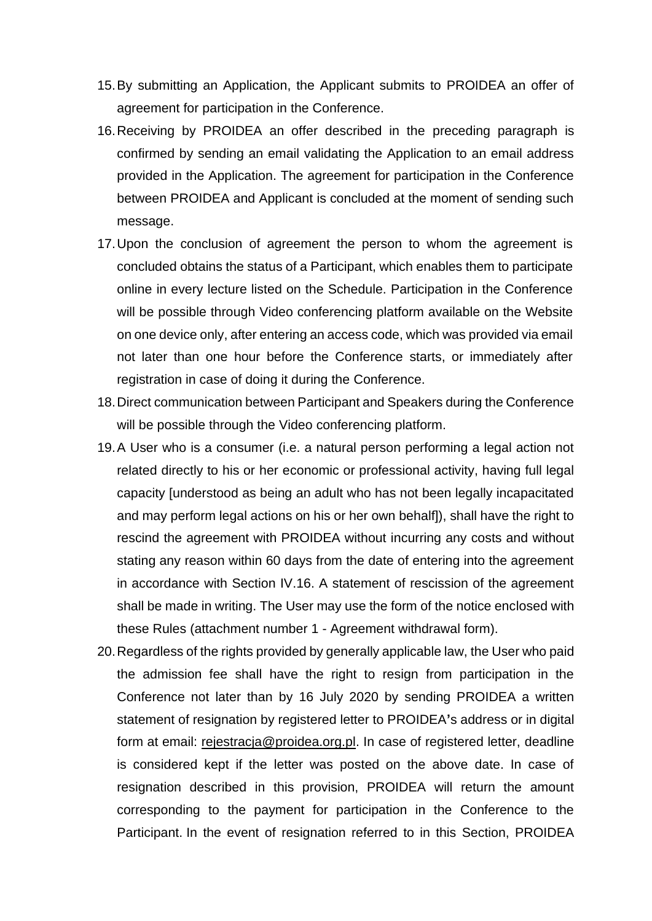- 15.By submitting an Application, the Applicant submits to PROIDEA an offer of agreement for participation in the Conference.
- 16.Receiving by PROIDEA an offer described in the preceding paragraph is confirmed by sending an email validating the Application to an email address provided in the Application. The agreement for participation in the Conference between PROIDEA and Applicant is concluded at the moment of sending such message.
- 17.Upon the conclusion of agreement the person to whom the agreement is concluded obtains the status of a Participant, which enables them to participate online in every lecture listed on the Schedule. Participation in the Conference will be possible through Video conferencing platform available on the Website on one device only, after entering an access code, which was provided via email not later than one hour before the Conference starts, or immediately after registration in case of doing it during the Conference.
- 18.Direct communication between Participant and Speakers during the Conference will be possible through the Video conferencing platform.
- 19.A User who is a consumer (i.e. a natural person performing a legal action not related directly to his or her economic or professional activity, having full legal capacity [understood as being an adult who has not been legally incapacitated and may perform legal actions on his or her own behalf]), shall have the right to rescind the agreement with PROIDEA without incurring any costs and without stating any reason within 60 days from the date of entering into the agreement in accordance with Section IV.16. A statement of rescission of the agreement shall be made in writing. The User may use the form of the notice enclosed with these Rules (attachment number 1 - Agreement withdrawal form).
- 20.Regardless of the rights provided by generally applicable law, the User who paid the admission fee shall have the right to resign from participation in the Conference not later than by 16 July 2020 by sending PROIDEA a written statement of resignation by registered letter to PROIDEA**'**s address or in digital form at email: [rejestracja@proidea.org.pl.](mailto:rejestracja@proidea.org.pl) In case of registered letter, deadline is considered kept if the letter was posted on the above date. In case of resignation described in this provision, PROIDEA will return the amount corresponding to the payment for participation in the Conference to the Participant. In the event of resignation referred to in this Section, PROIDEA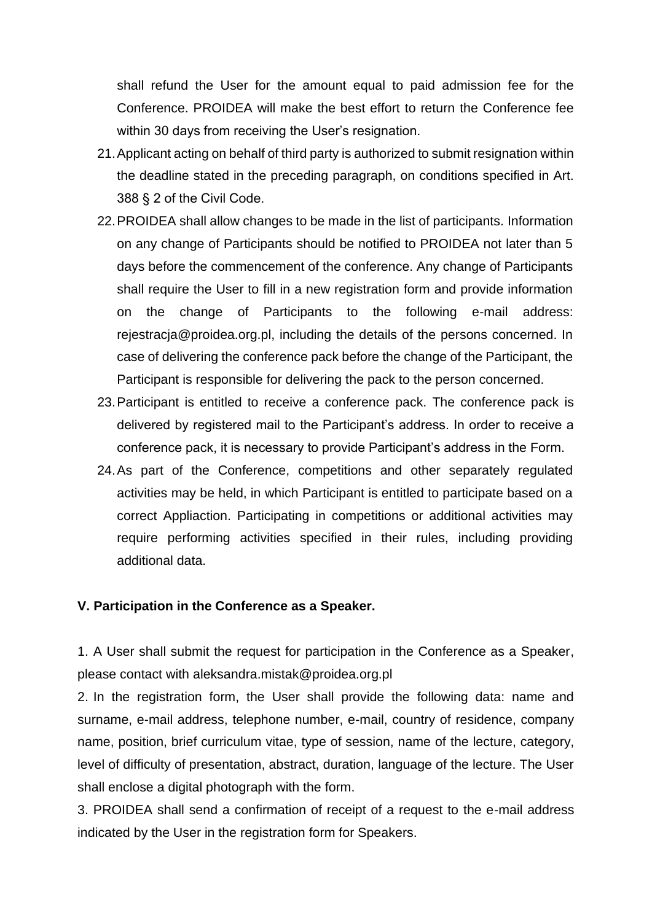shall refund the User for the amount equal to paid admission fee for the Conference. PROIDEA will make the best effort to return the Conference fee within 30 days from receiving the User's resignation.

- 21.Applicant acting on behalf of third party is authorized to submit resignation within the deadline stated in the preceding paragraph, on conditions specified in Art. 388 § 2 of the Civil Code.
- 22.PROIDEA shall allow changes to be made in the list of participants. Information on any change of Participants should be notified to PROIDEA not later than 5 days before the commencement of the conference. Any change of Participants shall require the User to fill in a new registration form and provide information on the change of Participants to the following e-mail address: rejestracja@proidea.org.pl, including the details of the persons concerned. In case of delivering the conference pack before the change of the Participant, the Participant is responsible for delivering the pack to the person concerned.
- 23.Participant is entitled to receive a conference pack. The conference pack is delivered by registered mail to the Participant's address. In order to receive a conference pack, it is necessary to provide Participant's address in the Form.
- 24.As part of the Conference, competitions and other separately regulated activities may be held, in which Participant is entitled to participate based on a correct Appliaction. Participating in competitions or additional activities may require performing activities specified in their rules, including providing additional data.

#### **V. Participation in the Conference as a Speaker.**

1. A User shall submit the request for participation in the Conference as a Speaker, please contact with aleksandra.mistak@proidea.org.pl

2. In the registration form, the User shall provide the following data: name and surname, e-mail address, telephone number, e-mail, country of residence, company name, position, brief curriculum vitae, type of session, name of the lecture, category, level of difficulty of presentation, abstract, duration, language of the lecture. The User shall enclose a digital photograph with the form.

3. PROIDEA shall send a confirmation of receipt of a request to the e-mail address indicated by the User in the registration form for Speakers.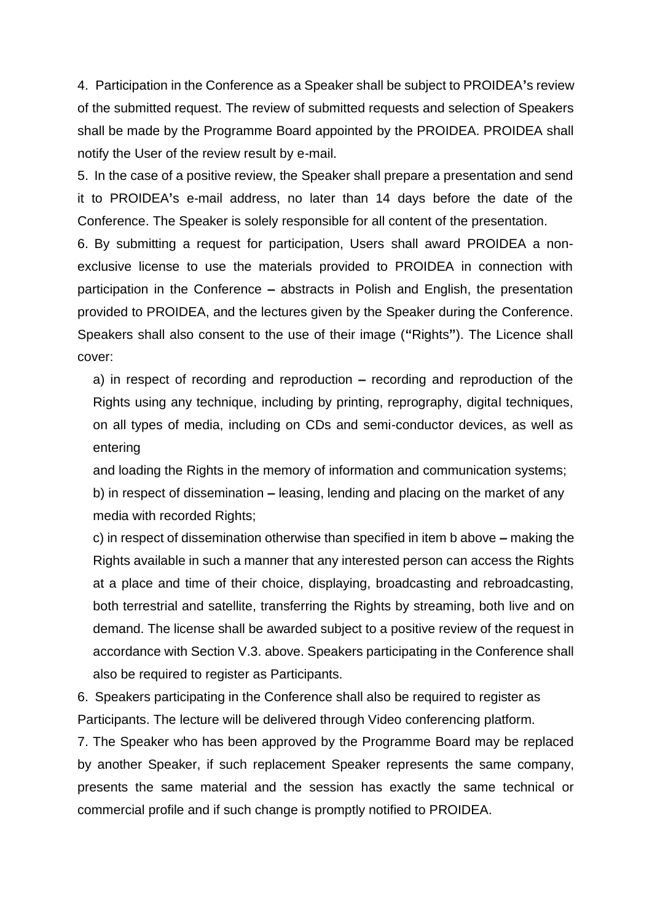4. Participation in the Conference as a Speaker shall be subject to PROIDEA**'**s review of the submitted request. The review of submitted requests and selection of Speakers shall be made by the Programme Board appointed by the PROIDEA. PROIDEA shall notify the User of the review result by e-mail.

5. In the case of a positive review, the Speaker shall prepare a presentation and send it to PROIDEA**'**s e-mail address, no later than 14 days before the date of the Conference. The Speaker is solely responsible for all content of the presentation.

6. By submitting a request for participation, Users shall award PROIDEA a nonexclusive license to use the materials provided to PROIDEA in connection with participation in the Conference **–** abstracts in Polish and English, the presentation provided to PROIDEA, and the lectures given by the Speaker during the Conference. Speakers shall also consent to the use of their image (**"**Rights**"**). The Licence shall cover:

a) in respect of recording and reproduction **–** recording and reproduction of the Rights using any technique, including by printing, reprography, digital techniques, on all types of media, including on CDs and semi-conductor devices, as well as entering

and loading the Rights in the memory of information and communication systems;

b) in respect of dissemination **–** leasing, lending and placing on the market of any media with recorded Rights;

c) in respect of dissemination otherwise than specified in item b above **–** making the Rights available in such a manner that any interested person can access the Rights at a place and time of their choice, displaying, broadcasting and rebroadcasting, both terrestrial and satellite, transferring the Rights by streaming, both live and on demand. The license shall be awarded subject to a positive review of the request in accordance with Section V.3. above. Speakers participating in the Conference shall also be required to register as Participants.

6. Speakers participating in the Conference shall also be required to register as Participants. The lecture will be delivered through Video conferencing platform.

7. The Speaker who has been approved by the Programme Board may be replaced by another Speaker, if such replacement Speaker represents the same company, presents the same material and the session has exactly the same technical or commercial profile and if such change is promptly notified to PROIDEA.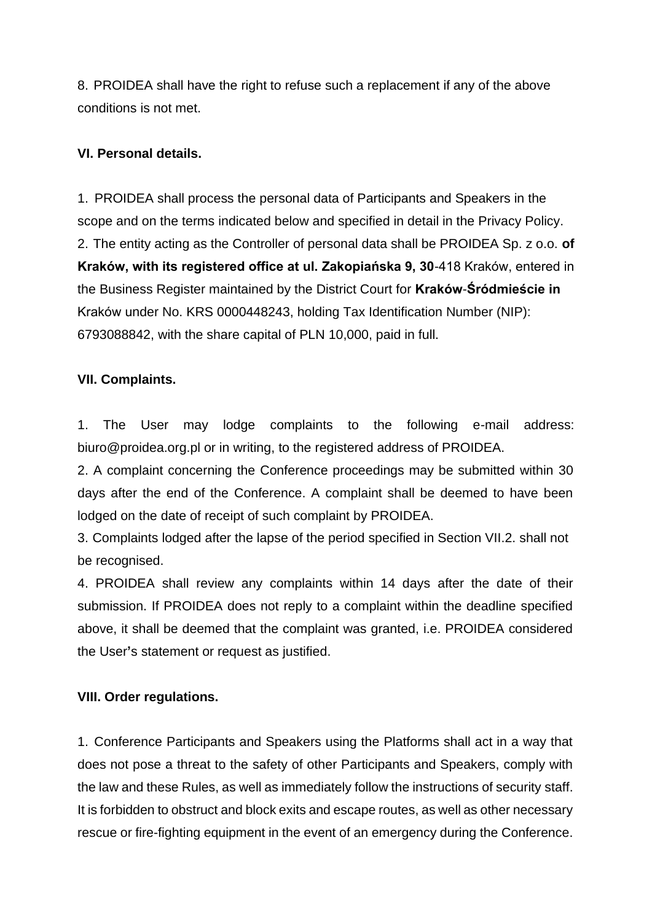8. PROIDEA shall have the right to refuse such a replacement if any of the above conditions is not met.

### **VI. Personal details.**

1. PROIDEA shall process the personal data of Participants and Speakers in the scope and on the terms indicated below and specified in detail in the Privacy Policy. 2. The entity acting as the Controller of personal data shall be PROIDEA Sp. z o.o. **of Kraków, with its registered office at ul. Zakopiańska 9, 30**-418 Kraków, entered in the Business Register maintained by the District Court for **Kraków**-**Śródmieście in** Kraków under No. KRS 0000448243, holding Tax Identification Number (NIP): 6793088842, with the share capital of PLN 10,000, paid in full.

### **VII. Complaints.**

1. The User may lodge complaints to the following e-mail address: biuro@proidea.org.pl or in writing, to the registered address of PROIDEA.

2. A complaint concerning the Conference proceedings may be submitted within 30 days after the end of the Conference. A complaint shall be deemed to have been lodged on the date of receipt of such complaint by PROIDEA.

3. Complaints lodged after the lapse of the period specified in Section VII.2. shall not be recognised.

4. PROIDEA shall review any complaints within 14 days after the date of their submission. If PROIDEA does not reply to a complaint within the deadline specified above, it shall be deemed that the complaint was granted, i.e. PROIDEA considered the User**'**s statement or request as justified.

### **VIII. Order regulations.**

1. Conference Participants and Speakers using the Platforms shall act in a way that does not pose a threat to the safety of other Participants and Speakers, comply with the law and these Rules, as well as immediately follow the instructions of security staff. It is forbidden to obstruct and block exits and escape routes, as well as other necessary rescue or fire-fighting equipment in the event of an emergency during the Conference.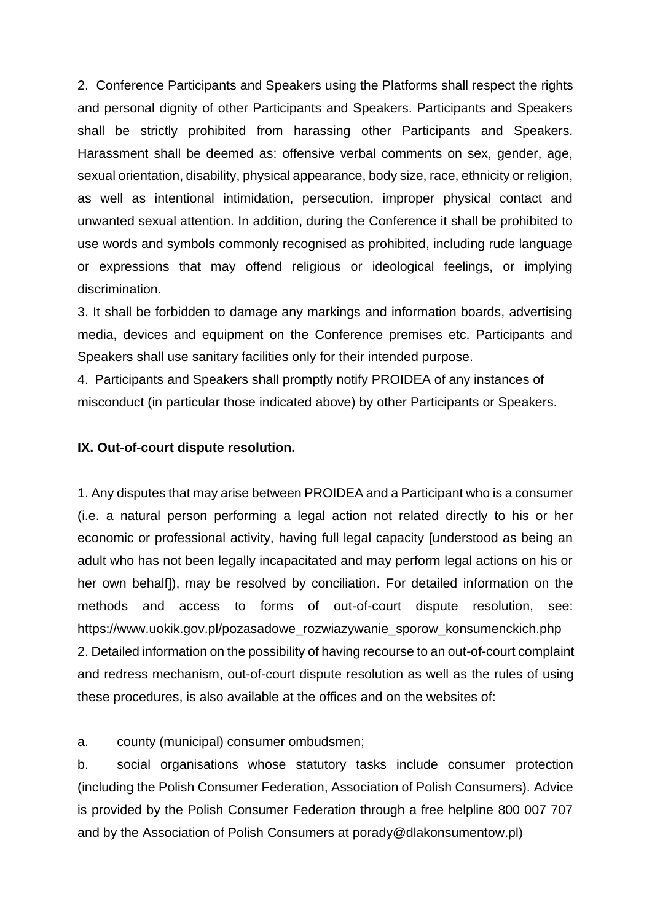2. Conference Participants and Speakers using the Platforms shall respect the rights and personal dignity of other Participants and Speakers. Participants and Speakers shall be strictly prohibited from harassing other Participants and Speakers. Harassment shall be deemed as: offensive verbal comments on sex, gender, age, sexual orientation, disability, physical appearance, body size, race, ethnicity or religion, as well as intentional intimidation, persecution, improper physical contact and unwanted sexual attention. In addition, during the Conference it shall be prohibited to use words and symbols commonly recognised as prohibited, including rude language or expressions that may offend religious or ideological feelings, or implying discrimination.

3. It shall be forbidden to damage any markings and information boards, advertising media, devices and equipment on the Conference premises etc. Participants and Speakers shall use sanitary facilities only for their intended purpose.

4. Participants and Speakers shall promptly notify PROIDEA of any instances of misconduct (in particular those indicated above) by other Participants or Speakers.

#### **IX. Out-of-court dispute resolution.**

1. Any disputes that may arise between PROIDEA and a Participant who is a consumer (i.e. a natural person performing a legal action not related directly to his or her economic or professional activity, having full legal capacity [understood as being an adult who has not been legally incapacitated and may perform legal actions on his or her own behalf]), may be resolved by conciliation. For detailed information on the methods and access to forms of out-of-court dispute resolution, see: https://www.uokik.gov.pl/pozasadowe\_rozwiazywanie\_sporow\_konsumenckich.php 2. Detailed information on the possibility of having recourse to an out-of-court complaint and redress mechanism, out-of-court dispute resolution as well as the rules of using these procedures, is also available at the offices and on the websites of:

a. county (municipal) consumer ombudsmen;

b. social organisations whose statutory tasks include consumer protection (including the Polish Consumer Federation, Association of Polish Consumers). Advice is provided by the Polish Consumer Federation through a free helpline 800 007 707 and by the Association of Polish Consumers at porady@dlakonsumentow.pl)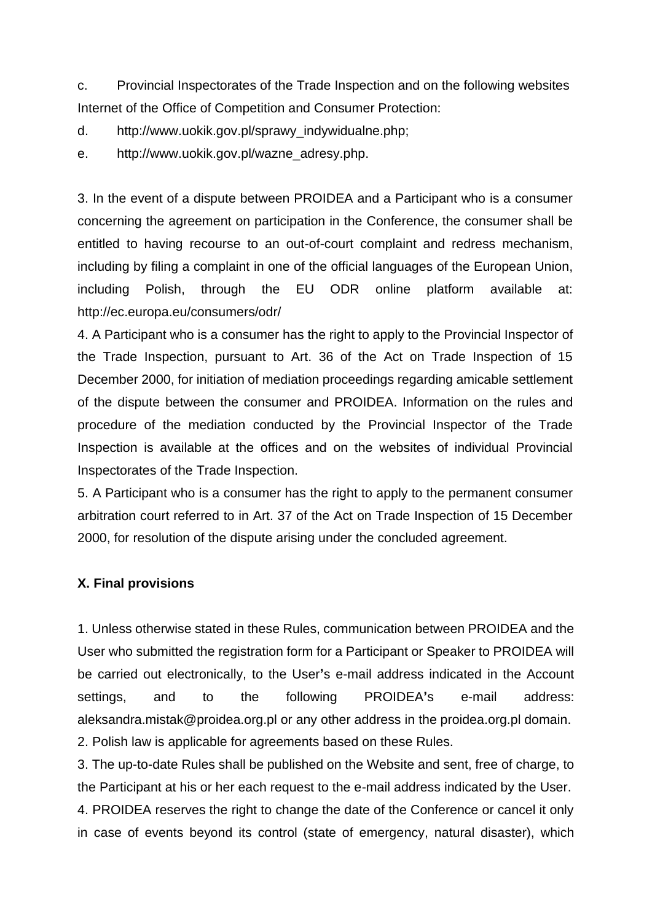c. Provincial Inspectorates of the Trade Inspection and on the following websites Internet of the Office of Competition and Consumer Protection:

d. http://www.uokik.gov.pl/sprawy\_indywidualne.php;

e. http://www.uokik.gov.pl/wazne\_adresy.php.

3. In the event of a dispute between PROIDEA and a Participant who is a consumer concerning the agreement on participation in the Conference, the consumer shall be entitled to having recourse to an out-of-court complaint and redress mechanism, including by filing a complaint in one of the official languages of the European Union, including Polish, through the EU ODR online platform available at: http://ec.europa.eu/consumers/odr/

4. A Participant who is a consumer has the right to apply to the Provincial Inspector of the Trade Inspection, pursuant to Art. 36 of the Act on Trade Inspection of 15 December 2000, for initiation of mediation proceedings regarding amicable settlement of the dispute between the consumer and PROIDEA. Information on the rules and procedure of the mediation conducted by the Provincial Inspector of the Trade Inspection is available at the offices and on the websites of individual Provincial Inspectorates of the Trade Inspection.

5. A Participant who is a consumer has the right to apply to the permanent consumer arbitration court referred to in Art. 37 of the Act on Trade Inspection of 15 December 2000, for resolution of the dispute arising under the concluded agreement.

### **X. Final provisions**

1. Unless otherwise stated in these Rules, communication between PROIDEA and the User who submitted the registration form for a Participant or Speaker to PROIDEA will be carried out electronically, to the User**'**s e-mail address indicated in the Account settings, and to the following PROIDEA**'**s e-mail address: aleksandra.mistak@proidea.org.pl or any other address in the proidea.org.pl domain. 2. Polish law is applicable for agreements based on these Rules.

3. The up-to-date Rules shall be published on the Website and sent, free of charge, to the Participant at his or her each request to the e-mail address indicated by the User. 4. PROIDEA reserves the right to change the date of the Conference or cancel it only in case of events beyond its control (state of emergency, natural disaster), which